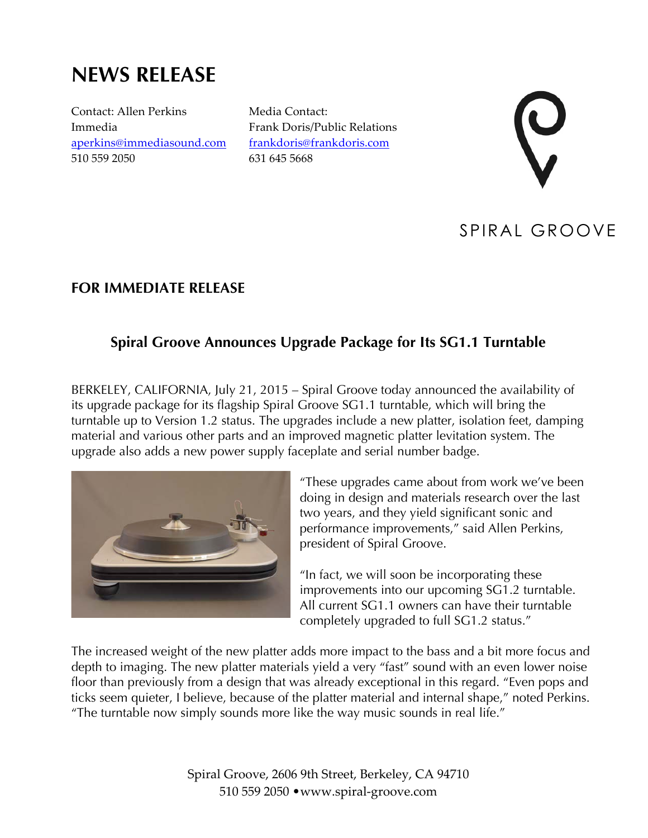# **NEWS RELEASE**

Contact: Allen Perkins Immedia aperkins@immediasound.com 510 559 2050

Media Contact: Frank Doris/Public Relations frankdoris@frankdoris.com 631 645 5668



## SPIRAL GROOVE

#### **FOR IMMEDIATE RELEASE**

### **Spiral Groove Announces Upgrade Package for Its SG1.1 Turntable**

BERKELEY, CALIFORNIA, July 21, 2015 – Spiral Groove today announced the availability of its upgrade package for its flagship Spiral Groove SG1.1 turntable, which will bring the turntable up to Version 1.2 status. The upgrades include a new platter, isolation feet, damping material and various other parts and an improved magnetic platter levitation system. The upgrade also adds a new power supply faceplate and serial number badge.



"These upgrades came about from work we've been doing in design and materials research over the last two years, and they yield significant sonic and performance improvements," said Allen Perkins, president of Spiral Groove.

"In fact, we will soon be incorporating these improvements into our upcoming SG1.2 turntable. All current SG1.1 owners can have their turntable completely upgraded to full SG1.2 status."

The increased weight of the new platter adds more impact to the bass and a bit more focus and depth to imaging. The new platter materials yield a very "fast" sound with an even lower noise floor than previously from a design that was already exceptional in this regard. "Even pops and ticks seem quieter, I believe, because of the platter material and internal shape," noted Perkins. "The turntable now simply sounds more like the way music sounds in real life."

> Spiral Groove, 2606 9th Street, Berkeley, CA 94710 510 559 2050 •www.spiral-groove.com